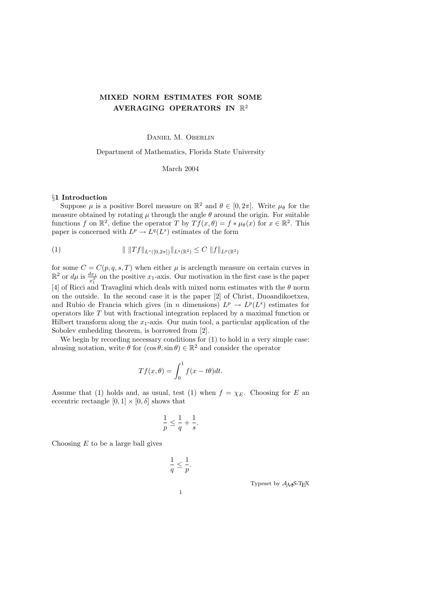# MIXED NORM ESTIMATES FOR SOME AVERAGING OPERATORS IN  $\mathbb{R}^2$

Daniel M. Oberlin

Department of Mathematics, Florida State University

March 2004

## §1 Introduction

Suppose  $\mu$  is a positive Borel measure on  $\mathbb{R}^2$  and  $\theta \in [0, 2\pi]$ . Write  $\mu_{\theta}$  for the measure obtained by rotating  $\mu$  through the angle  $\theta$  around the origin. For suitable functions f on  $\mathbb{R}^2$ , define the operator T by  $Tf(x,\theta) = f * \mu(\theta(x))$  for  $x \in \mathbb{R}^2$ . This paper is concerned with  $L^p \to L^q(L^s)$  estimates of the form

(1) 
$$
\| \|Tf\|_{L^s([0,2\pi])} \|_{L^q(\mathbb{R}^2)} \leq C \|f\|_{L^p(\mathbb{R}^2)}
$$

for some  $C = C(p, q, s, T)$  when either  $\mu$  is arclength measure on certain curves in  $\mathbb{R}^2$  or  $d\mu$  is  $\frac{dx_1}{x_1^{\beta}}$  on the positive  $x_1$ -axis. Our motivation in the first case is the paper [4] of Ricci and Travaglini which deals with mixed norm estimates with the  $\theta$  norm on the outside. In the second case it is the paper [2] of Christ, Duoandikoetxea, and Rubio de Francia which gives (in n dimensions)  $L^p \to L^p(L^s)$  estimates for operators like T but with fractional integration replaced by a maximal function or Hilbert transform along the  $x_1$ -axis. Our main tool, a particular application of the Sobolev embedding theorem, is borrowed from [2].

We begin by recording necessary conditions for  $(1)$  to hold in a very simple case: abusing notation, write  $\theta$  for  $(\cos \theta, \sin \theta) \in \mathbb{R}^2$  and consider the operator

$$
Tf(x,\theta) = \int_0^1 f(x - t\theta)dt.
$$

Assume that (1) holds and, as usual, test (1) when  $f = \chi_E$ . Choosing for E an eccentric rectangle  $[0, 1] \times [0, \delta]$  shows that

$$
\frac{1}{p}\leq \frac{1}{q}+\frac{1}{s}
$$

1  $\overline{q}$ 

.

Choosing  $E$  to be a large ball gives

$$
\leq \frac{1}{p}.
$$

peset by  $A_{\mathcal{M}}$ S-TEX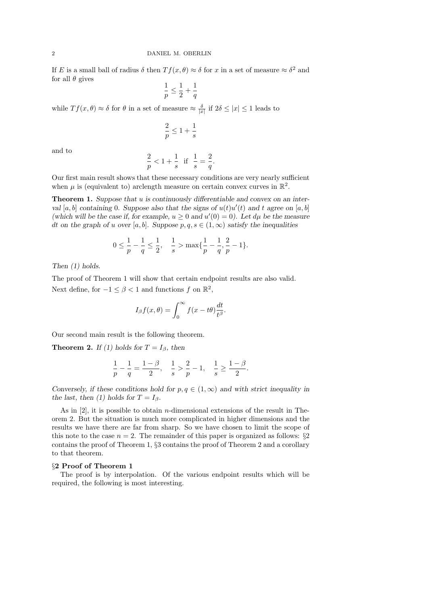If E is a small ball of radius  $\delta$  then  $Tf(x,\theta) \approx \delta$  for x in a set of measure  $\approx \delta^2$  and for all  $\theta$  gives

$$
\frac{1}{p} \le \frac{1}{2} + \frac{1}{q}
$$

while  $Tf(x, \theta) \approx \delta$  for  $\theta$  in a set of measure  $\approx \frac{\delta}{|x|}$  if  $2\delta \leq |x| \leq 1$  leads to

$$
\frac{2}{p} \leq 1 + \frac{1}{s}
$$

and to

$$
\frac{2}{p} < 1 + \frac{1}{s} \quad \text{if} \quad \frac{1}{s} = \frac{2}{q}.
$$

Our first main result shows that these necessary conditions are very nearly sufficient when  $\mu$  is (equivalent to) arclength measure on certain convex curves in  $\mathbb{R}^2$ .

**Theorem 1.** Suppose that u is continuously differentiable and convex on an interval [a, b] containing 0. Suppose also that the signs of  $u(t)u'(t)$  and t agree on [a, b] (which will be the case if, for example,  $u \geq 0$  and  $u'(0) = 0$ ). Let  $d\mu$  be the measure dt on the graph of u over [a, b]. Suppose  $p, q, s \in (1, \infty)$  satisfy the inequalities

$$
0 \le \frac{1}{p} - \frac{1}{q} \le \frac{1}{2}, \quad \frac{1}{s} > \max\{\frac{1}{p} - \frac{1}{q}, \frac{2}{p} - 1\}.
$$

Then (1) holds.

The proof of Theorem 1 will show that certain endpoint results are also valid. Next define, for  $-1 \leq \beta < 1$  and functions f on  $\mathbb{R}^2$ ,

$$
I_{\beta}f(x,\theta) = \int_0^{\infty} f(x - t\theta) \frac{dt}{t^{\beta}}.
$$

Our second main result is the following theorem.

**Theorem 2.** If (1) holds for  $T = I_\beta$ , then

$$
\frac{1}{p} - \frac{1}{q} = \frac{1 - \beta}{2}, \quad \frac{1}{s} > \frac{2}{p} - 1, \quad \frac{1}{s} \ge \frac{1 - \beta}{2}.
$$

Conversely, if these conditions hold for  $p, q \in (1, \infty)$  and with strict inequality in the last, then (1) holds for  $T = I_{\beta}$ .

As in [2], it is possible to obtain n-dimensional extensions of the result in Theorem 2. But the situation is much more complicated in higher dimensions and the results we have there are far from sharp. So we have chosen to limit the scope of this note to the case  $n = 2$ . The remainder of this paper is organized as follows: §2 contains the proof of Theorem 1, §3 contains the proof of Theorem 2 and a corollary to that theorem.

### §2 Proof of Theorem 1

The proof is by interpolation. Of the various endpoint results which will be required, the following is most interesting.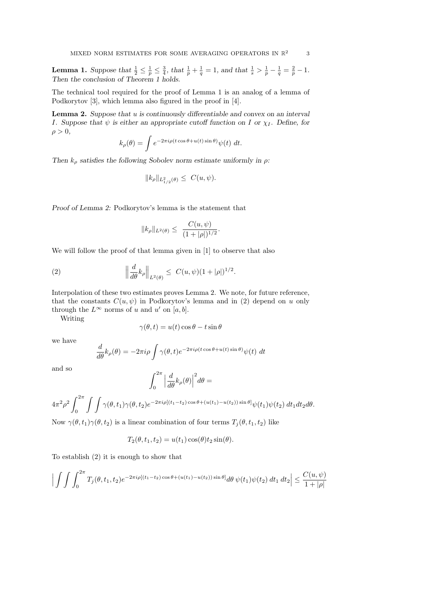**Lemma 1.** Suppose that  $\frac{1}{2} \leq \frac{1}{p} \leq \frac{3}{4}$ , that  $\frac{1}{p} + \frac{1}{q} = 1$ , and that  $\frac{1}{s} > \frac{1}{p} - \frac{1}{q} = \frac{2}{p} - 1$ . Then the conclusion of Theorem 1 holds.

The technical tool required for the proof of Lemma 1 is an analog of a lemma of Podkorytov [3], which lemma also figured in the proof in [4].

**Lemma 2.** Suppose that  $u$  is continuously differentiable and convex on an interval I. Suppose that  $\psi$  is either an appropriate cutoff function on I or  $\chi_I$ . Define, for  $\rho > 0$ ,

$$
k_{\rho}(\theta) = \int e^{-2\pi i \rho (t \cos \theta + u(t) \sin \theta)} \psi(t) dt.
$$

Then  $k_{\rho}$  satisfies the following Sobolev norm estimate uniformly in  $\rho$ :

$$
||k_{\rho}||_{L^2_{1/2}(\theta)} \leq C(u,\psi).
$$

Proof of Lemma 2: Podkorytov's lemma is the statement that

$$
||k_{\rho}||_{L^{2}(\theta)} \leq \frac{C(u,\psi)}{(1+|\rho|)^{1/2}}.
$$

We will follow the proof of that lemma given in [1] to observe that also

(2) 
$$
\left\| \frac{d}{d\theta} k_{\rho} \right\|_{L^{2}(\theta)} \leq C(u, \psi)(1 + |\rho|)^{1/2}.
$$

Interpolation of these two estimates proves Lemma 2. We note, for future reference, that the constants  $C(u, \psi)$  in Podkorytov's lemma and in (2) depend on u only through the  $L^{\infty}$  norms of u and u' on [a, b].

Writing

$$
\gamma(\theta, t) = u(t) \cos \theta - t \sin \theta
$$

we have

$$
\frac{d}{d\theta}k_{\rho}(\theta) = -2\pi i\rho \int \gamma(\theta, t)e^{-2\pi i\rho(t\cos\theta + u(t)\sin\theta)}\psi(t) dt
$$

and so

$$
\int_0^{2\pi} \Big| \frac{d}{d\theta} k_{\rho}(\theta) \Big|^2 d\theta =
$$

$$
4\pi^2\rho^2\int_0^{2\pi}\int\int\gamma(\theta,t_1)\gamma(\theta,t_2)e^{-2\pi i\rho[(t_1-t_2)\cos\theta+(u(t_1)-u(t_2))\sin\theta]}\psi(t_1)\psi(t_2)\,dt_1dt_2d\theta.
$$

Now  $\gamma(\theta, t_1)\gamma(\theta, t_2)$  is a linear combination of four terms  $T_i(\theta, t_1, t_2)$  like

$$
T_2(\theta, t_1, t_2) = u(t_1) \cos(\theta) t_2 \sin(\theta).
$$

To establish (2) it is enough to show that

$$
\Big|\int\int\int_0^{2\pi} T_j(\theta, t_1, t_2) e^{-2\pi i \rho [(t_1 - t_2)\cos\theta + (u(t_1) - u(t_2))\sin\theta]} d\theta \, \psi(t_1) \psi(t_2) dt_1 dt_2\Big| \leq \frac{C(u, \psi)}{1 + |\rho|}
$$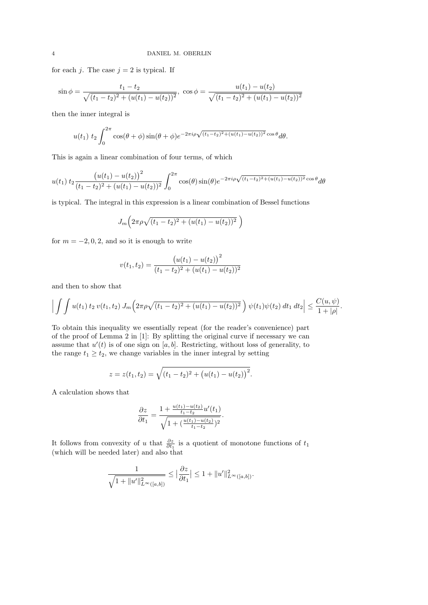for each j. The case  $j = 2$  is typical. If

$$
\sin \phi = \frac{t_1 - t_2}{\sqrt{(t_1 - t_2)^2 + (u(t_1) - u(t_2))^2}}, \cos \phi = \frac{u(t_1) - u(t_2)}{\sqrt{(t_1 - t_2)^2 + (u(t_1) - u(t_2))^2}}
$$

then the inner integral is

$$
u(t_1) \ t_2 \int_0^{2\pi} \cos(\theta + \phi) \sin(\theta + \phi) e^{-2\pi i \rho \sqrt{(t_1 - t_2)^2 + (u(t_1) - u(t_2))^2} \cos \theta} d\theta.
$$

This is again a linear combination of four terms, of which

$$
u(t_1) t_2 \frac{\left(u(t_1) - u(t_2)\right)^2}{(t_1 - t_2)^2 + (u(t_1) - u(t_2))^2} \int_0^{2\pi} \cos(\theta) \sin(\theta) e^{-2\pi i \rho \sqrt{(t_1 - t_2)^2 + (u(t_1) - u(t_2))^2}} \cos \theta d\theta
$$

is typical. The integral in this expression is a linear combination of Bessel functions

$$
J_m\Big(2\pi\rho\sqrt{(t_1-t_2)^2+(u(t_1)-u(t_2))^2}\,\,\Big)
$$

for  $m = -2, 0, 2$ , and so it is enough to write

$$
v(t_1, t_2) = \frac{(u(t_1) - u(t_2))^{2}}{(t_1 - t_2)^{2} + (u(t_1) - u(t_2))^{2}}
$$

and then to show that

$$
\left| \int \int u(t_1) \, t_2 \, v(t_1, t_2) \, J_m\left(2\pi \rho \sqrt{(t_1 - t_2)^2 + (u(t_1) - u(t_2))^2}\right) \psi(t_1) \psi(t_2) \, dt_1 \, dt_2 \right| \leq \frac{C(u, \psi)}{1 + |\rho|}.
$$

To obtain this inequality we essentially repeat (for the reader's convenience) part of the proof of Lemma 2 in [1]: By splitting the original curve if necessary we can assume that  $u'(t)$  is of one sign on [a, b]. Restricting, without loss of generality, to the range  $t_1 \geq t_2$ , we change variables in the inner integral by setting

$$
z = z(t_1, t_2) = \sqrt{(t_1 - t_2)^2 + (u(t_1) - u(t_2))^2}.
$$

A calculation shows that

$$
\frac{\partial z}{\partial t_1} = \frac{1 + \frac{u(t_1) - u(t_2)}{t_1 - t_2} u'(t_1)}{\sqrt{1 + (\frac{u(t_1) - u(t_2)}{t_1 - t_2})^2}}.
$$

It follows from convexity of u that  $\frac{\partial z}{\partial t_1}$  is a quotient of monotone functions of  $t_1$ (which will be needed later) and also that

$$
\frac{1}{\sqrt{1 + \|u'\|_{L^{\infty}([a,b])}^2}} \leq \left|\frac{\partial z}{\partial t_1}\right| \leq 1 + \|u'\|_{L^{\infty}([a,b])}^2.
$$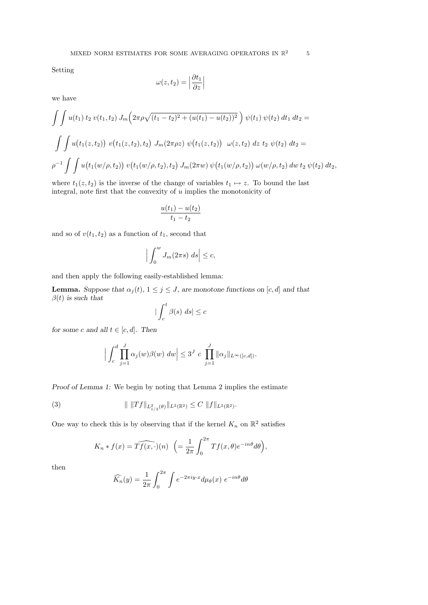Setting

$$
\omega(z, t_2) = \left| \frac{\partial t_1}{\partial z} \right|
$$

we have

$$
\int \int u(t_1) \, t_2 \, v(t_1, t_2) \, J_m\left(2\pi \rho \sqrt{(t_1 - t_2)^2 + (u(t_1) - u(t_2))^2}\right) \psi(t_1) \, \psi(t_2) \, dt_1 \, dt_2 =
$$
\n
$$
\int \int u(t_1(z, t_2)) \, v(t_1(z, t_2), t_2) \, J_m(2\pi \rho z) \, \psi(t_1(z, t_2)) \, \omega(z, t_2) \, dz \, t_2 \, \psi(t_2) \, dt_2 =
$$
\n
$$
\rho^{-1} \int \int u(t_1(w/\rho, t_2)) \, v(t_1(w/\rho, t_2), t_2) \, J_m(2\pi w) \, \psi(t_1(w/\rho, t_2)) \, \omega(w/\rho, t_2) \, dw \, t_2 \, \psi(t_2) \, dt_2,
$$

where  $t_1(z, t_2)$  is the inverse of the change of variables  $t_1 \mapsto z$ . To bound the last integral, note first that the convexity of  $u$  implies the monotonicity of

$$
\frac{u(t_1)-u(t_2)}{t_1-t_2}
$$

and so of  $v(t_1, t_2)$  as a function of  $t_1$ , second that

$$
\left| \int_0^w J_m(2\pi s) \ ds \right| \leq c,
$$

and then apply the following easily-established lemma:

**Lemma.** Suppose that  $\alpha_j(t)$ ,  $1 \leq j \leq J$ , are monotone functions on [c, d] and that  $\beta(t)$  is such that

$$
\big|\int_{c}^{t} \beta(s) \ ds\big| \leq c
$$

for some c and all  $t \in [c, d]$ . Then

$$
\Big|\int_{c}^{d} \prod_{j=1}^{J} \alpha_j(w) \beta(w) \ dw \Big| \leq 3^{J} \ c \prod_{j=1}^{J} \|\alpha_j\|_{L^{\infty}([c,d])}.
$$

Proof of Lemma 1: We begin by noting that Lemma 2 implies the estimate

(3) 
$$
\| \|Tf\|_{L^2_{1/2}(\theta)} \|_{L^2(\mathbb{R}^2)} \leq C \|f\|_{L^2(\mathbb{R}^2)}.
$$

One way to check this is by observing that if the kernel  $K_n$  on  $\mathbb{R}^2$  satisfies

$$
K_n * f(x) = \widehat{Tf(x, \cdot)}(n) \ \left( = \frac{1}{2\pi} \int_0^{2\pi} Tf(x, \theta) e^{-in\theta} d\theta \right),
$$

then

$$
\widehat{K_n}(y) = \frac{1}{2\pi} \int_0^{2\pi} \int e^{-2\pi i y \cdot x} d\mu_{\theta}(x) e^{-in\theta} d\theta
$$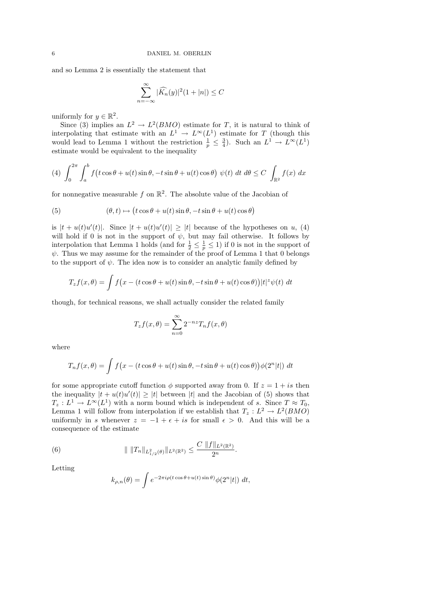and so Lemma 2 is essentially the statement that

$$
\sum_{n=-\infty}^{\infty} |\widehat{K_n}(y)|^2 (1+|n|) \leq C
$$

uniformly for  $y \in \mathbb{R}^2$ .

Since (3) implies an  $L^2 \to L^2(BMO)$  estimate for T, it is natural to think of interpolating that estimate with an  $L^1 \to L^{\infty}(L^1)$  estimate for T (though this would lead to Lemma 1 without the restriction  $\frac{1}{p} \leq \frac{3}{4}$ . Such an  $L^1 \to L^{\infty}(L^1)$ estimate would be equivalent to the inequality

(4) 
$$
\int_0^{2\pi} \int_a^b f\big(t\cos\theta + u(t)\sin\theta, -t\sin\theta + u(t)\cos\theta\big) \psi(t) dt d\theta \le C \int_{\mathbb{R}^2} f(x) dx
$$

for nonnegative measurable  $f$  on  $\mathbb{R}^2$ . The absolute value of the Jacobian of

(5) 
$$
(\theta, t) \mapsto (t \cos \theta + u(t) \sin \theta, -t \sin \theta + u(t) \cos \theta)
$$

is  $|t + u(t)u'(t)|$ . Since  $|t + u(t)u'(t)| \geq |t|$  because of the hypotheses on u, (4) will hold if 0 is not in the support of  $\psi$ , but may fail otherwise. It follows by interpolation that Lemma 1 holds (and for  $\frac{1}{2} \leq \frac{1}{p} \leq 1$ ) if 0 is not in the support of  $\psi$ . Thus we may assume for the remainder of the proof of Lemma 1 that 0 belongs to the support of  $\psi$ . The idea now is to consider an analytic family defined by

$$
T_z f(x,\theta) = \int f(x - (t\cos\theta + u(t)\sin\theta, -t\sin\theta + u(t)\cos\theta))|t|^2 \psi(t) dt
$$

though, for technical reasons, we shall actually consider the related family

$$
T_z f(x,\theta) = \sum_{n=0}^{\infty} 2^{-nz} T_n f(x,\theta)
$$

where

$$
T_n f(x,\theta) = \int f(x - (t\cos\theta + u(t)\sin\theta, -t\sin\theta + u(t)\cos\theta))\phi(2^n|t|) dt
$$

for some appropriate cutoff function  $\phi$  supported away from 0. If  $z = 1 + is$  then the inequality  $|t + u(t)u'(t)| \geq |t|$  between |t| and the Jacobian of (5) shows that  $T_z: L^1 \to L^{\infty}(L^1)$  with a norm bound which is independent of s. Since  $T \approx T_0$ , Lemma 1 will follow from interpolation if we establish that  $T_z : L^2 \to L^2(BMO)$ uniformly in s whenever  $z = -1 + \epsilon + is$  for small  $\epsilon > 0$ . And this will be a consequence of the estimate

(6) 
$$
\| \|T_n\|_{L^2_{1/2}(\theta)} \|_{L^2(\mathbb{R}^2)} \leq \frac{C \|f\|_{L^2(\mathbb{R}^2)}}{2^n}.
$$

Letting

$$
k_{\rho,n}(\theta) = \int e^{-2\pi i \rho (t \cos \theta + u(t) \sin \theta)} \phi(2^n |t|) dt,
$$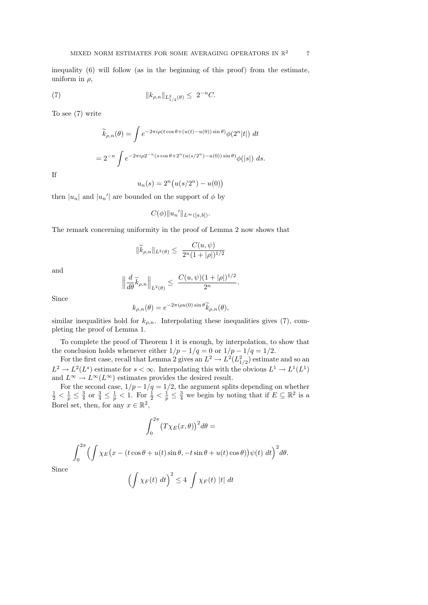inequality (6) will follow (as in the beginning of this proof) from the estimate, uniform in  $\rho$ ,

(7) 
$$
||k_{\rho,n}||_{L^2_{1/2}(\theta)} \leq 2^{-n}C.
$$

To see (7) write

$$
\widetilde{k}_{\rho,n}(\theta) = \int e^{-2\pi i \rho (t \cos \theta + (u(t) - u(0))\sin \theta)} \phi(2^n |t|) dt
$$

$$
= 2^{-n} \int e^{-2\pi i \rho 2^{-n} (s \cos \theta + 2^n (u(s/2^n) - u(0))\sin \theta)} \phi(|s|) ds.
$$

If

$$
u_n(s) = 2^n (u(s/2^n) - u(0))
$$

then  $|u_n|$  and  $|u_n'|$  are bounded on the support of  $\phi$  by

$$
C(\phi) \|u_n'\|_{L^{\infty}([a,b])}.
$$

The remark concerning uniformity in the proof of Lemma 2 now shows that

$$
\|\widetilde{k}_{\rho,n}\|_{L^2(\theta)} \le \frac{C(u,\psi)}{2^n(1+|\rho|)^{1/2}}
$$

and

$$
\left\|\frac{d}{d\theta}\widetilde{k}_{\rho,n}\right\|_{L^2(\theta)} \leq \frac{C(u,\psi)(1+|\rho|)^{1/2}}{2^n}
$$

.

Since

$$
k_{\rho,n}(\theta) = e^{-2\pi i \rho u(0) \sin \theta} \widetilde{k}_{\rho,n}(\theta),
$$

similar inequalities hold for  $k_{\rho,n}$ . Interpolating these inequalities gives (7), completing the proof of Lemma 1.

To complete the proof of Theorem 1 it is enough, by interpolation, to show that the conclusion holds whenever either  $1/p - 1/q = 0$  or  $1/p - 1/q = 1/2$ .

For the first case, recall that Lemma 2 gives an  $L^2 \to L^2(L^2_{1/2})$  estimate and so an  $L^2 \to L^2(L^s)$  estimate for  $s < \infty$ . Interpolating this with the obvious  $L^1 \to L^1(L^1)$ and  $L^{\infty} \to L^{\infty}(L^{\infty})$  estimates provides the desired result.

For the second case,  $1/p - 1/q = 1/2$ , the argument splits depending on whether  $\frac{1}{2} < \frac{1}{p} \leq \frac{3}{4}$  or  $\frac{3}{4} \leq \frac{1}{p} < 1$ . For  $\frac{1}{2} < \frac{1}{p} \leq \frac{3}{4}$  we begin by noting that if  $E \subseteq \mathbb{R}^2$  is a Borel set, then, for any  $x \in \mathbb{R}^2$ ,

$$
\int_0^{2\pi} \bigl(T\chi_E(x,\theta)\bigr)^2 d\theta =
$$

$$
\int_0^{2\pi} \left( \int \chi_E \big( x - (t \cos \theta + u(t) \sin \theta, -t \sin \theta + u(t) \cos \theta) \big) \psi(t) \, dt \right)^2 d\theta.
$$

Since

$$
\left(\int \chi_F(t) \ dt\right)^2 \leq 4 \ \int \chi_F(t) \ |t| \ dt
$$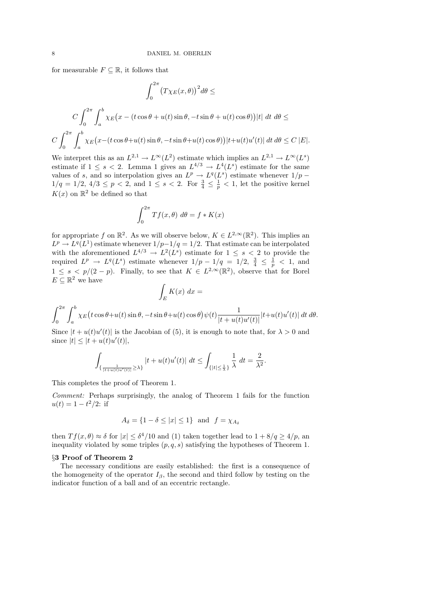for measurable  $F \subseteq \mathbb{R}$ , it follows that

$$
\int_0^{2\pi} \left( T\chi_E(x,\theta) \right)^2 d\theta \le
$$
  

$$
C \int_0^{2\pi} \int_a^b \chi_E \left( x - (t\cos\theta + u(t)\sin\theta, -t\sin\theta + u(t)\cos\theta) \right) |t| \, dt \, d\theta \le
$$
  

$$
C \int_0^{2\pi} \int_a^b \chi_E \left( x - (t\cos\theta + u(t)\sin\theta, -t\sin\theta + u(t)\cos\theta) \right) |t + u(t)u'(t)| \, dt \, d\theta \le C |E|.
$$

We interpret this as an  $L^{2,1} \to L^{\infty}(L^2)$  estimate which implies an  $L^{2,1} \to L^{\infty}(L^s)$ estimate if  $1 \leq s < 2$ . Lemma 1 gives an  $L^{4/3} \to L^4(L^s)$  estimate for the same values of s, and so interpolation gives an  $L^p \to L^q(L^s)$  estimate whenever  $1/p$  –  $1/q = 1/2, 4/3 \leq p < 2$ , and  $1 \leq s < 2$ . For  $\frac{3}{4} \leq \frac{1}{p} < 1$ , let the positive kernel  $K(x)$  on  $\mathbb{R}^2$  be defined so that

$$
\int_0^{2\pi} Tf(x,\theta) \, d\theta = f * K(x)
$$

for appropriate f on  $\mathbb{R}^2$ . As we will observe below,  $K \in L^{2,\infty}(\mathbb{R}^2)$ . This implies an  $L^p \to L^q(L^1)$  estimate whenever  $1/p-1/q=1/2$ . That estimate can be interpolated with the aforementioned  $L^{4/3} \to L^2(L^s)$  estimate for  $1 \leq s < 2$  to provide the required  $L^p \to L^q(L^s)$  estimate whenever  $1/p - 1/q = 1/2, \frac{3}{4} \leq \frac{1}{p} < 1$ , and  $1 \leq s \leq p/(2-p)$ . Finally, to see that  $K \in L^{2,\infty}(\mathbb{R}^2)$ , observe that for Borel  $E \subseteq \mathbb{R}^2$  we have

$$
\int_E K(x) \ dx =
$$

$$
\int_0^{2\pi} \int_a^b \chi_E\big(t\cos\theta + u(t)\sin\theta, -t\sin\theta + u(t)\cos\theta\big)\psi(t)\frac{1}{|t+u(t)u'(t)|}|t+u(t)u'(t)|\,dt\,d\theta.
$$

Since  $|t+u(t)u'(t)|$  is the Jacobian of (5), it is enough to note that, for  $\lambda > 0$  and since  $|t| \leq |t + u(t)u'(t)|$ ,

$$
\int_{\{\frac{1}{|t+u(t)u'(t)|}\ge\lambda\}}|t+u(t)u'(t)|\ dt\le\int_{\{|t|\le\frac{1}{\lambda}\}}\frac{1}{\lambda}\ dt=\frac{2}{\lambda^2}.
$$

This completes the proof of Theorem 1.

Comment: Perhaps surprisingly, the analog of Theorem 1 fails for the function  $u(t) = 1 - t^2/2$ : if

$$
A_{\delta} = \{1 - \delta \le |x| \le 1\} \text{ and } f = \chi_{A_{\delta}}
$$

then  $Tf(x, \theta) \approx \delta$  for  $|x| \leq \delta^4/10$  and (1) taken together lead to  $1 + 8/q \geq 4/p$ , and inequality violated by some triples  $(p, q, s)$  satisfying the hypotheses of Theorem 1.

#### §3 Proof of Theorem 2

The necessary conditions are easily established: the first is a consequence of the homogeneity of the operator  $I_\beta$ , the second and third follow by testing on the indicator function of a ball and of an eccentric rectangle.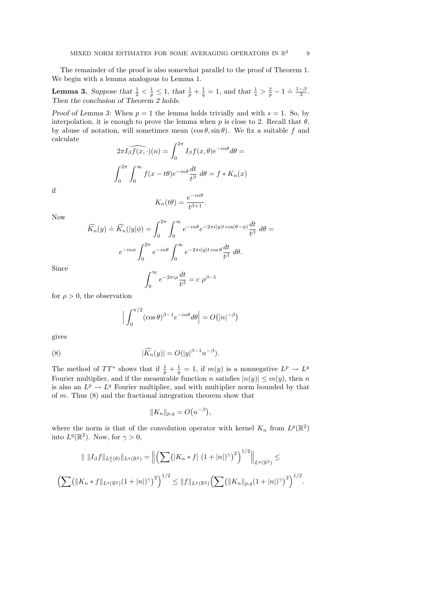The remainder of the proof is also somewhat parallel to the proof of Theorem 1. We begin with a lemma analogous to Lemma 1.

**Lemma 3.** Suppose that  $\frac{1}{2} < \frac{1}{p} \leq 1$ , that  $\frac{1}{p} + \frac{1}{q} = 1$ , and that  $\frac{1}{s} > \frac{2}{p} - 1 = \frac{1-\beta}{2}$ . Then the conclusion of Theorem 2 holds.

Proof of Lemma 3: When  $p = 1$  the lemma holds trivially and with  $s = 1$ . So, by interpolation, it is enough to prove the lemma when p is close to 2. Recall that  $\theta$ , by abuse of notation, will sometimes mean  $(\cos \theta, \sin \theta)$ . We fix a suitable f and calculate

$$
2\pi I_{\beta} \widehat{f(x,\cdot)}(n) = \int_0^{2\pi} I_{\beta} f(x,\theta) e^{-in\theta} d\theta =
$$

$$
\int_0^{2\pi} \int_0^{\infty} f(x - t\theta) e^{-in\theta} \frac{dt}{t^{\beta}} d\theta = f * K_n(x)
$$

if

$$
K_n(t\theta) = \frac{e^{-in\theta}}{t^{\beta+1}}.
$$

Now

$$
\widehat{K_n}(y) \doteq \widehat{K_n}(|y|\phi) = \int_0^{2\pi} \int_0^{\infty} e^{-in\theta} e^{-2\pi i|y|t\cos(\theta-\phi)} \frac{dt}{t^{\beta}} d\theta =
$$

$$
e^{-in\phi} \int_0^{2\pi} e^{-in\theta} \int_0^{\infty} e^{-2\pi i|y|t\cos\theta} \frac{dt}{t^{\beta}} d\theta.
$$

Since

$$
\int_0^\infty e^{-2\pi i\rho} \frac{dt}{t^\beta} = c \; \rho^{\beta - 1}
$$

for  $\rho > 0$ , the observation

$$
\Big|\int_0^{\pi/2} (\cos \theta)^{\beta - 1} e^{-in\theta} d\theta\Big| = O(|n|^{-\beta})
$$

gives

(8) 
$$
|\widehat{K}_n(y)| = O(|y|^{\beta - 1} n^{-\beta}).
$$

The method of  $TT^*$  shows that if  $\frac{1}{p} + \frac{1}{q} = 1$ , if  $m(y)$  is a nonnegative  $L^p \to L^q$ Fourier multiplier, and if the measurable function n satisfies  $|n(y)| \le m(y)$ , then n is also an  $L^p \to L^q$  Fourier multiplier, and with multiplier norm bounded by that of m. Thus (8) and the fractional integration theorem show that

$$
||K_n||_{p,q} = O(n^{-\beta}),
$$

where the norm is that of the convolution operator with kernel  $K_n$  from  $L^p(\mathbb{R}^2)$ into  $L^q(\mathbb{R}^2)$ . Now, for  $\gamma > 0$ ,

$$
\| \|I_{\beta}f\|_{L^2(\theta)}\|_{L^q(\mathbb{R}^2)} = \left\| \left( \sum (|K_n * f| (1+|n|)^{\gamma})^2 \right)^{1/2} \right\|_{L^q(\mathbb{R}^2)} \le
$$
  

$$
\left( \sum (||K_n * f||_{L^q(\mathbb{R}^2)}(1+|n|)^{\gamma})^2 \right)^{1/2} \le ||f||_{L^p(\mathbb{R}^2)} \left( \sum (||K_n||_{p,q}(1+|n|)^{\gamma})^2 \right)^{1/2}.
$$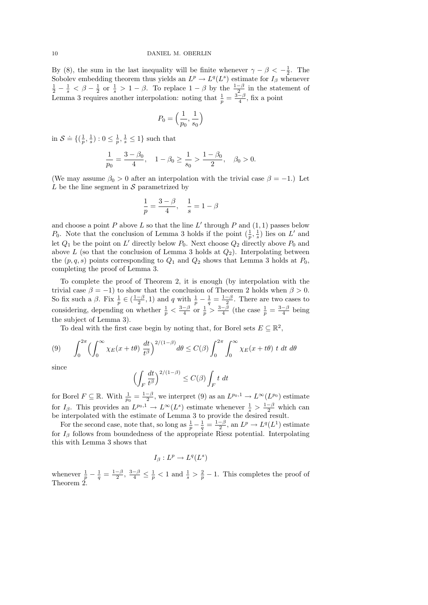By (8), the sum in the last inequality will be finite whenever  $\gamma - \beta < -\frac{1}{2}$ . The Sobolev embedding theorem thus yields an  $L^p \to L^q(L^s)$  estimate for  $I_\beta$  whenever  $\frac{1}{2} - \frac{1}{s} < \beta - \frac{1}{2}$  or  $\frac{1}{s} > 1 - \beta$ . To replace  $1 - \beta$  by the  $\frac{1-\beta}{2}$  in the statement of Lemma 3 requires another interpolation: noting that  $\frac{1}{p} = \frac{3-p}{4}$ , fix a point

$$
P_0=\Big(\frac{1}{p_0},\frac{1}{s_0}\Big)
$$

in  $\mathcal{S} \doteq \{(\frac{1}{p}, \frac{1}{s}) : 0 \leq \frac{1}{p}, \frac{1}{s} \leq 1\}$  such that

$$
\frac{1}{p_0} = \frac{3 - \beta_0}{4}, \quad 1 - \beta_0 \ge \frac{1}{s_0} > \frac{1 - \beta_0}{2}, \quad \beta_0 > 0.
$$

(We may assume  $\beta_0 > 0$  after an interpolation with the trivial case  $\beta = -1$ .) Let L be the line segment in  $\mathcal S$  parametrized by

$$
\frac{1}{p}=\frac{3-\beta}{4},\quad \frac{1}{s}=1-\beta
$$

and choose a point P above L so that the line L' through P and  $(1, 1)$  passes below  $P_0$ . Note that the conclusion of Lemma 3 holds if the point  $(\frac{1}{p}, \frac{1}{s})$  lies on L' and let  $Q_1$  be the point on L' directly below  $P_0$ . Next choose  $Q_2$  directly above  $P_0$  and above L (so that the conclusion of Lemma 3 holds at  $Q_2$ ). Interpolating between the  $(p, q, s)$  points corresponding to  $Q_1$  and  $Q_2$  shows that Lemma 3 holds at  $P_0$ , completing the proof of Lemma 3.

To complete the proof of Theorem 2, it is enough (by interpolation with the trivial case  $\beta = -1$ ) to show that the conclusion of Theorem 2 holds when  $\beta > 0$ . So fix such a  $\beta$ . Fix  $\frac{1}{p} \in (\frac{1-\beta}{2}, 1)$  and q with  $\frac{1}{p} - \frac{1}{q} = \frac{1-\beta}{2}$ . There are two cases to considering, depending on whether  $\frac{1}{p} < \frac{3-\beta}{4}$  or  $\frac{1}{p} > \frac{3-\beta}{4}$  (the case  $\frac{1}{p} = \frac{3-\beta}{4}$  being the subject of Lemma 3).

To deal with the first case begin by noting that, for Borel sets  $E \subseteq \mathbb{R}^2$ ,

(9) 
$$
\int_0^{2\pi} \left( \int_0^{\infty} \chi_E(x+t\theta) \frac{dt}{t^{\beta}} \right)^{2/(1-\beta)} d\theta \le C(\beta) \int_0^{2\pi} \int_0^{\infty} \chi_E(x+t\theta) t dt d\theta
$$

since

$$
\left(\int_F \frac{dt}{t^{\beta}}\right)^{2/(1-\beta)} \leq C(\beta) \int_F t \ dt
$$

for Borel  $F \subseteq \mathbb{R}$ . With  $\frac{1}{p_0} = \frac{1-\beta}{2}$ , we interpret (9) as an  $L^{p_0,1} \to L^{\infty}(L^{p_0})$  estimate for  $I_\beta$ . This provides an  $L^{p_0,1} \to L^\infty(L^s)$  estimate whenever  $\frac{1}{s} > \frac{1-\beta}{2}$  which can be interpolated with the estimate of Lemma 3 to provide the desired result.

For the second case, note that, so long as  $\frac{1}{p} - \frac{1}{q} = \frac{1-\beta}{2}$ , an  $L^p \to L^q(L^1)$  estimate for  $I_\beta$  follows from boundedness of the appropriate Riesz potential. Interpolating this with Lemma 3 shows that

$$
I_{\beta}: L^p \to L^q(L^s)
$$

whenever  $\frac{1}{p} - \frac{1}{q} = \frac{1-\beta}{2}$ ,  $\frac{3-\beta}{4} \leq \frac{1}{p} < 1$  and  $\frac{1}{s} > \frac{2}{p} - 1$ . This completes the proof of Theorem 2.